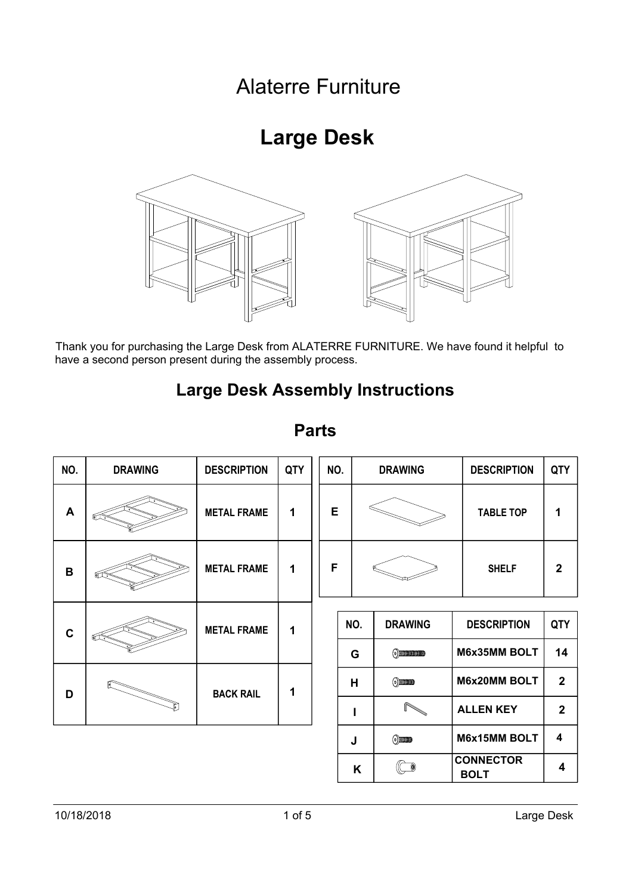## Alaterre Furniture

# **Large Desk**



|                                                                                                                                                           |                | ⋓                  |     |     |     | w                       |                                 |                |
|-----------------------------------------------------------------------------------------------------------------------------------------------------------|----------------|--------------------|-----|-----|-----|-------------------------|---------------------------------|----------------|
| Thank you for purchasing the Large Desk from ALATERRE FURNITURE. We have found it helpful to<br>have a second person present during the assembly process. |                |                    |     |     |     |                         |                                 |                |
| <b>Large Desk Assembly Instructions</b>                                                                                                                   |                |                    |     |     |     |                         |                                 |                |
| <b>Parts</b>                                                                                                                                              |                |                    |     |     |     |                         |                                 |                |
| NO.                                                                                                                                                       | <b>DRAWING</b> | <b>DESCRIPTION</b> | QTY | NO. |     | <b>DRAWING</b>          | <b>DESCRIPTION</b>              | QTY            |
| A                                                                                                                                                         |                | <b>METAL FRAME</b> | 1   | E   |     |                         | <b>TABLE TOP</b>                | 1              |
| B                                                                                                                                                         |                | <b>METAL FRAME</b> | 1   | F   |     |                         | <b>SHELF</b>                    | $\overline{2}$ |
| $\mathbf c$                                                                                                                                               |                | <b>METAL FRAME</b> | 1   |     | NO. | <b>DRAWING</b>          | <b>DESCRIPTION</b>              | QTY            |
|                                                                                                                                                           |                |                    |     |     | G   | $\odot$ matrices and    | M6x35MM BOLT                    | 14             |
| D                                                                                                                                                         |                | <b>BACK RAIL</b>   | 1   |     | Н   | $\odot$ mans            | <b>M6x20MM BOLT</b>             | $\mathbf{2}$   |
|                                                                                                                                                           |                |                    |     |     | ı   |                         | <b>ALLEN KEY</b>                | $\mathbf{2}$   |
|                                                                                                                                                           |                |                    |     |     | J   | $\odot$                 | M6x15MM BOLT                    | 4              |
|                                                                                                                                                           |                |                    |     |     | Κ   | $\overline{\mathbb{C}}$ | <b>CONNECTOR</b><br><b>BOLT</b> | 4              |
|                                                                                                                                                           |                |                    |     |     |     |                         |                                 |                |
| 10/18/2018<br>$1$ of $5$                                                                                                                                  |                |                    |     |     |     |                         |                                 | Large Desk     |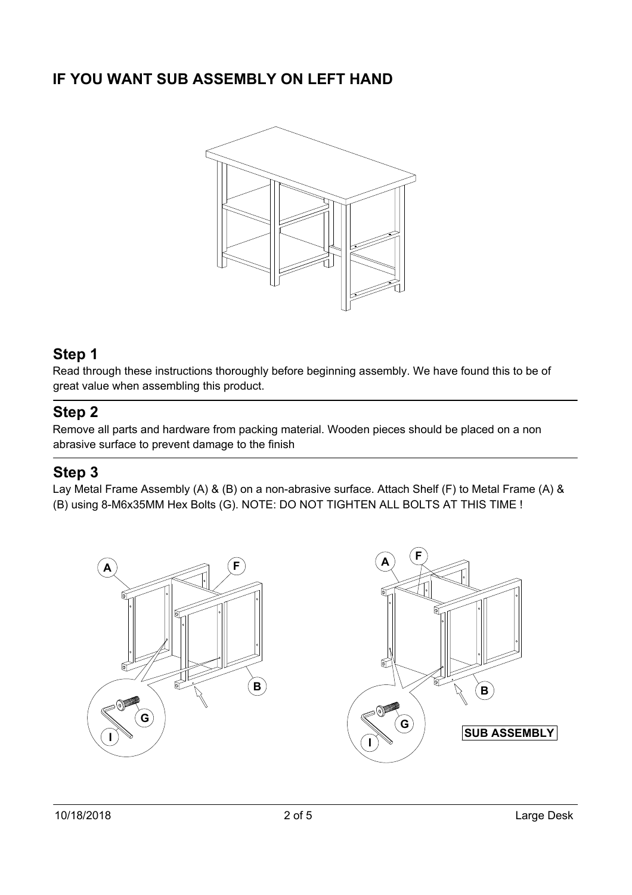

### **Step 1**

 $\mathsf{Step}\hspace{1pt} \mathsf{1}$ <br>Read through these instructions thoroughly before beginning assembly. We have found this to be of Read through these instructions thorough<mark>l</mark><br>great value when assembling this product. great value when assembling this product.<br> **Step 2** 

Remove all parts and hardware from packing material. Wooden pieces should be placed on a non **Step 2**<br>Remove all parts and hardware from packing ma<br>abrasive surface to prevent damage to the finish **Step 2**<br><sup>Remove</sup><br>abrasive<br>**Step 3** Nemove all parts and hardware from packing material. Wooden pieces should be placed on a non-<br>abrasive surface to prevent damage to the finish<br>**Step 3**<br>Lay Metal Frame Assembly (A) & (B) on a non-abrasive surface. Attach S

Lay Metal Frame Assembly (A) & (B) on a non-abrasive surface. Attach Shelf (F) to Metal Fra<mark>i</mark><br>(B) using 8-M6x35MM Hex Bolts (G). NOTE: DO NOT TIGHTEN ALL BOLTS AT THIS TIME !

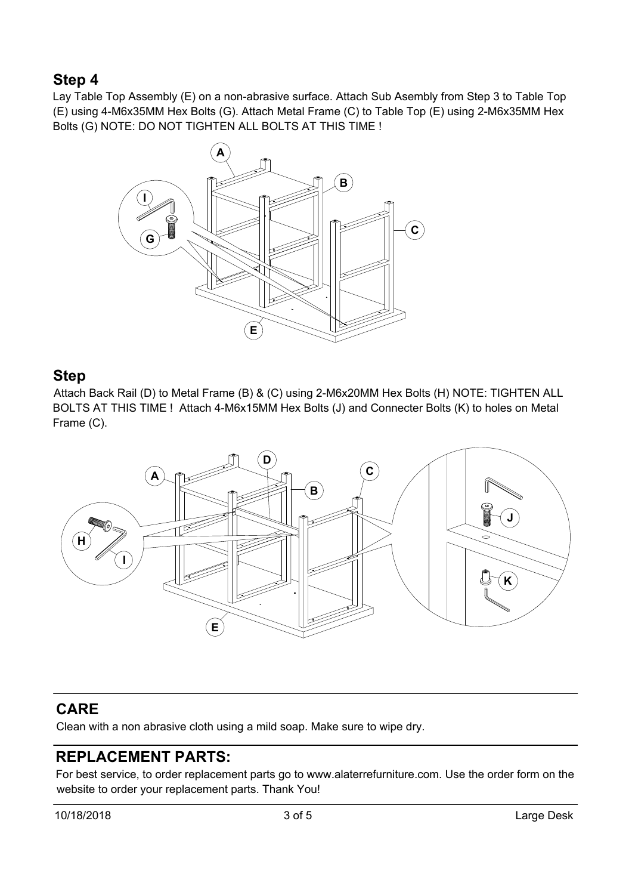### **Step 4**

**Step 4**<br>Lay Table Top Assembly (E) on a non-abrasive surface. Attach Sub Asembly from Step 3 to Table Top **Step 4**<br>Lay Table Top Assembly (E) on a non-abrasive surface. Attach Sub Asembly from Step 3 to Table Top<br>(E) using 4-M6x35MM Hex Bolts (G). Attach Metal Frame (C) to Table Top (E) using 2-M6x35MM Hex (E) using 4-M6x35MM Hex Bolts (G). Attach Metal Frame (C) to Table Top (E) using 2-M6x35MM Hex Bolts (G) NOTE: DO NOT TIGHTEN ALL BOLTS AT THIS TIME ! a<br>(<sup>(</sup><br>(<br>(A



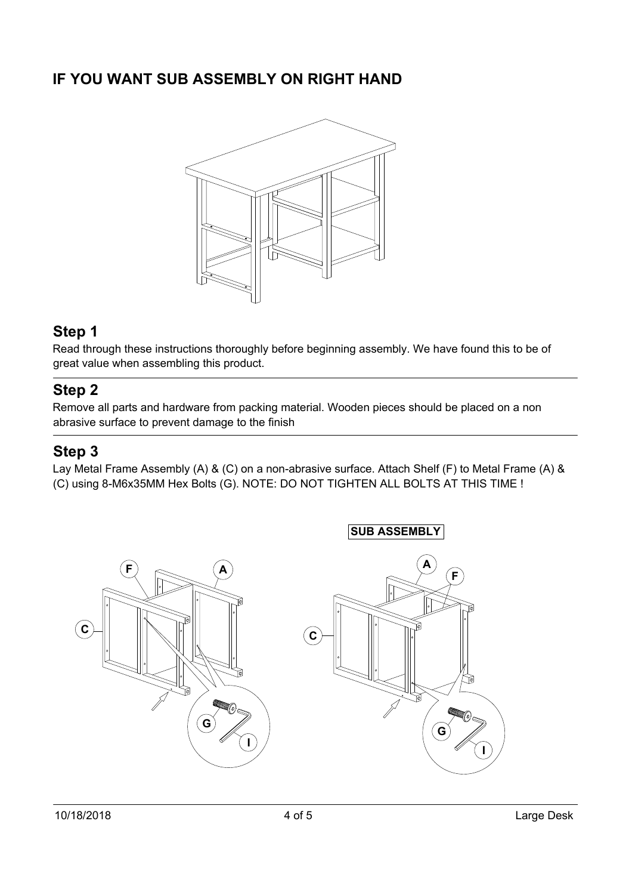